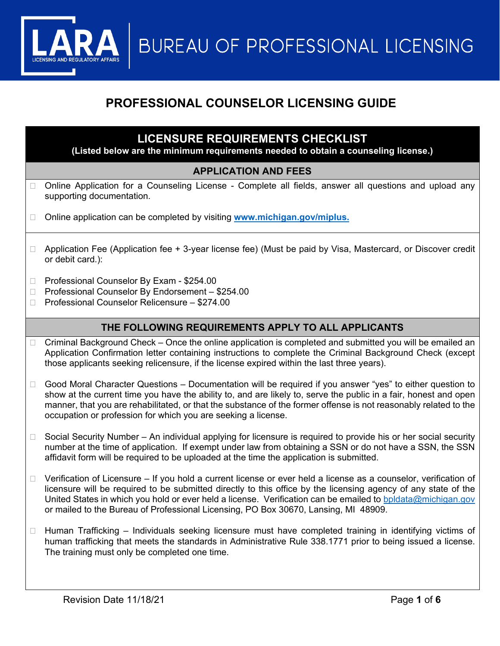**BUREAU OF PROFESSIONAL LICENSING** 

# **PROFESSIONAL COUNSELOR LICENSING GUIDE**

# **LICENSURE REQUIREMENTS CHECKLIST**

**(Listed below are the minimum requirements needed to obtain a counseling license.)**

## **APPLICATION AND FEES**

- □ Online Application for a Counseling License Complete all fields, answer all questions and upload any supporting documentation.
- □ Online application can be completed by visiting [www.michigan.gov/miplus.](http://www.michigan.gov/miplus)
- □ Application Fee (Application fee + 3-year license fee) (Must be paid by Visa, Mastercard, or Discover credit or debit card.):
- □ Professional Counselor By Exam \$254.00
- □ Professional Counselor By Endorsement \$254.00
- □ Professional Counselor Relicensure \$274.00

## **THE FOLLOWING REQUIREMENTS APPLY TO ALL APPLICANTS**

- □ Criminal Background Check Once the online application is completed and submitted you will be emailed an Application Confirmation letter containing instructions to complete the Criminal Background Check (except those applicants seeking relicensure, if the license expired within the last three years).
- □ Good Moral Character Questions Documentation will be required if you answer "yes" to either question to show at the current time you have the ability to, and are likely to, serve the public in a fair, honest and open manner, that you are rehabilitated, or that the substance of the former offense is not reasonably related to the occupation or profession for which you are seeking a license.
- $\Box$  Social Security Number An individual applying for licensure is required to provide his or her social security number at the time of application. If exempt under law from obtaining a SSN or do not have a SSN, the SSN affidavit form will be required to be uploaded at the time the application is submitted.
- $\Box$  Verification of Licensure If you hold a current license or ever held a license as a counselor, verification of licensure will be required to be submitted directly to this office by the licensing agency of any state of the United States in which you hold or ever held a license. Verification can be emailed to [bpldata@michigan.gov](mailto:bpldata@michigan.gov) or mailed to the Bureau of Professional Licensing, PO Box 30670, Lansing, MI 48909.
- $\Box$  Human Trafficking Individuals seeking licensure must have completed training in identifying victims of human trafficking that meets the standards in Administrative Rule 338.1771 prior to being issued a license. The training must only be completed one time.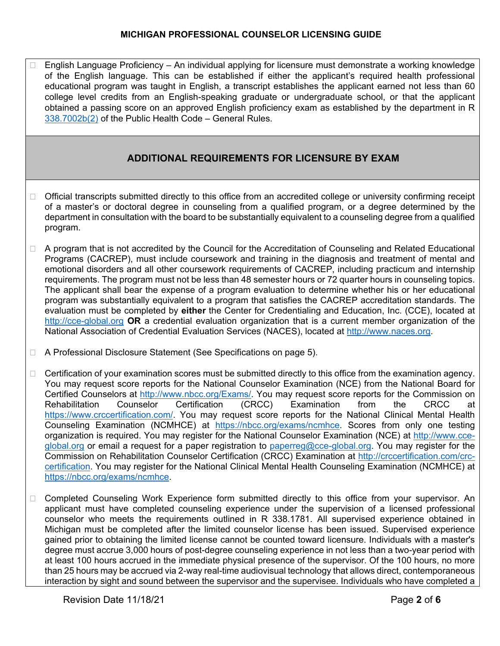$\Box$  English Language Proficiency – An individual applying for licensure must demonstrate a working knowledge of the English language. This can be established if either the applicant's required health professional educational program was taught in English, a transcript establishes the applicant earned not less than 60 college level credits from an English-speaking graduate or undergraduate school, or that the applicant obtained a passing score on an approved English proficiency exam as established by the department in R [338.7002b\(2\)](https://ars.apps.lara.state.mi.us/AdminCode/DownloadAdminCodeFile?FileName=R%20338.7001%20to%20R%20338.7005.pdf&ReturnHTML=True) of the Public Health Code – General Rules.

# **ADDITIONAL REQUIREMENTS FOR LICENSURE BY EXAM**

- $\Box$  Official transcripts submitted directly to this office from an accredited college or university confirming receipt of a master's or doctoral degree in counseling from a qualified program, or a degree determined by the department in consultation with the board to be substantially equivalent to a counseling degree from a qualified program.
- □ A program that is not accredited by the Council for the Accreditation of Counseling and Related Educational Programs (CACREP), must include coursework and training in the diagnosis and treatment of mental and emotional disorders and all other coursework requirements of CACREP, including practicum and internship requirements. The program must not be less than 48 semester hours or 72 quarter hours in counseling topics. The applicant shall bear the expense of a program evaluation to determine whether his or her educational program was substantially equivalent to a program that satisfies the CACREP accreditation standards. The evaluation must be completed by **either** the Center for Credentialing and Education, Inc. (CCE), located at [http://cce-global.org](http://cce-global.org/) **OR** a credential evaluation organization that is a current member organization of the National Association of Credential Evaluation Services (NACES), located at [http://www.naces.org.](http://www.naces.org/)
- □ A Professional Disclosure Statement (See Specifications on page 5).
- $\Box$  Certification of your examination scores must be submitted directly to this office from the examination agency. You may request score reports for the National Counselor Examination (NCE) from the National Board for Certified Counselors at <u>http://www.nbcc.org/Exams/</u>. You may request score reports for the Commission on<br>Rehabilitation Counselor Certification (CRCC) Examination from the CRCC at Rehabilitation Counselor Certification (CRCC) Examination from the CRCC at [https://www.crccertification.com/.](https://www.crccertification.com/) You may request score reports for the National Clinical Mental Health Counseling Examination (NCMHCE) at [https://nbcc.org/exams/ncmhce.](https://nbcc.org/exams/ncmhce) Scores from only one testing organization is required. You may register for the National Counselor Examination (NCE) at [http://www.cce](http://www.cce-global.org/)[global.org](http://www.cce-global.org/) or email a request for a paper registration to [paperreg@cce-global.org.](mailto:paperreg@cce-global.org) You may register for the Commission on Rehabilitation Counselor Certification (CRCC) Examination at [http://crccertification.com/crc](http://crccertification.com/crc-certification)[certification.](http://crccertification.com/crc-certification) You may register for the National Clinical Mental Health Counseling Examination (NCMHCE) at [https://nbcc.org/exams/ncmhce.](https://nbcc.org/exams/ncmhce)
- □ Completed Counseling Work Experience form submitted directly to this office from your supervisor. An applicant must have completed counseling experience under the supervision of a licensed professional counselor who meets the requirements outlined in R 338.1781. All supervised experience obtained in Michigan must be completed after the limited counselor license has been issued. Supervised experience gained prior to obtaining the limited license cannot be counted toward licensure. Individuals with a master's degree must accrue 3,000 hours of post-degree counseling experience in not less than a two-year period with at least 100 hours accrued in the immediate physical presence of the supervisor. Of the 100 hours, no more than 25 hours may be accrued via 2-way real-time audiovisual technology that allows direct, contemporaneous interaction by sight and sound between the supervisor and the supervisee. Individuals who have completed a

Revision Date 11/18/21 **Page 2** of 6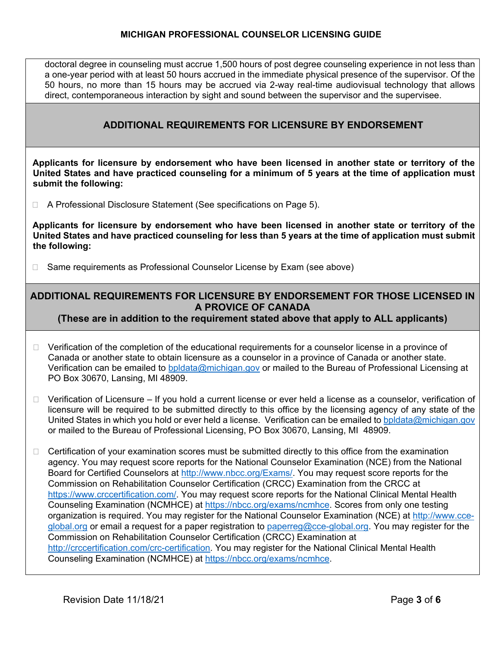doctoral degree in counseling must accrue 1,500 hours of post degree counseling experience in not less than a one-year period with at least 50 hours accrued in the immediate physical presence of the supervisor. Of the 50 hours, no more than 15 hours may be accrued via 2-way real-time audiovisual technology that allows direct, contemporaneous interaction by sight and sound between the supervisor and the supervisee.

## **ADDITIONAL REQUIREMENTS FOR LICENSURE BY ENDORSEMENT**

**Applicants for licensure by endorsement who have been licensed in another state or territory of the United States and have practiced counseling for a minimum of 5 years at the time of application must submit the following:** 

□ A Professional Disclosure Statement (See specifications on Page 5).

**Applicants for licensure by endorsement who have been licensed in another state or territory of the United States and have practiced counseling for less than 5 years at the time of application must submit the following:** 

□ Same requirements as Professional Counselor License by Exam (see above)

## **ADDITIONAL REQUIREMENTS FOR LICENSURE BY ENDORSEMENT FOR THOSE LICENSED IN A PROVICE OF CANADA**

### **(These are in addition to the requirement stated above that apply to ALL applicants)**

- $\Box$  Verification of the completion of the educational requirements for a counselor license in a province of Canada or another state to obtain licensure as a counselor in a province of Canada or another state. Verification can be emailed to [bpldata@michigan.gov](mailto:bpldata@michigan.gov) or mailed to the Bureau of Professional Licensing at PO Box 30670, Lansing, MI 48909.
- $\Box$  Verification of Licensure If you hold a current license or ever held a license as a counselor, verification of licensure will be required to be submitted directly to this office by the licensing agency of any state of the United States in which you hold or ever held a license. Verification can be emailed to [bpldata@michigan.gov](mailto:bpldata@michigan.gov) or mailed to the Bureau of Professional Licensing, PO Box 30670, Lansing, MI 48909.
- $\Box$  Certification of your examination scores must be submitted directly to this office from the examination agency. You may request score reports for the National Counselor Examination (NCE) from the National Board for Certified Counselors at [http://www.nbcc.org/Exams/.](http://www.nbcc.org/Exams/) You may request score reports for the Commission on Rehabilitation Counselor Certification (CRCC) Examination from the CRCC at [https://www.crccertification.com/.](https://www.crccertification.com/) You may request score reports for the National Clinical Mental Health Counseling Examination (NCMHCE) at [https://nbcc.org/exams/ncmhce.](https://nbcc.org/exams/ncmhce) Scores from only one testing organization is required. You may register for the National Counselor Examination (NCE) at [http://www.cce](http://www.cce-global.org/)[global.org](http://www.cce-global.org/) or email a request for a paper registration to [paperreg@cce-global.org.](mailto:paperreg@cce-global.org) You may register for the Commission on Rehabilitation Counselor Certification (CRCC) Examination at [http://crccertification.com/crc-certification.](http://crccertification.com/crc-certification) You may register for the National Clinical Mental Health Counseling Examination (NCMHCE) at [https://nbcc.org/exams/ncmhce.](https://nbcc.org/exams/ncmhce)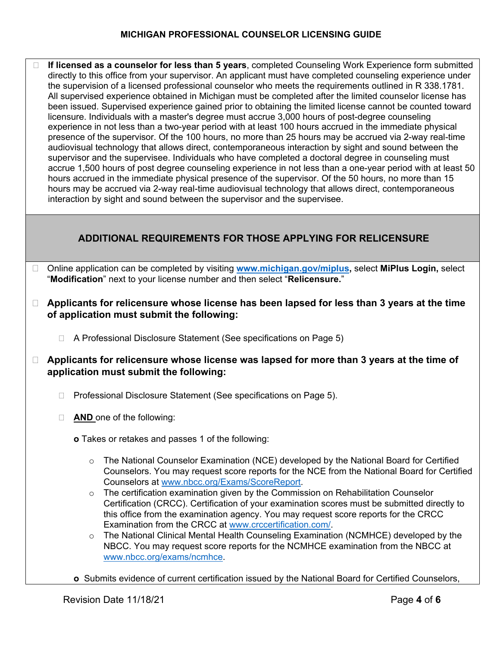**If licensed as a counselor for less than 5 years**, completed Counseling Work Experience form submitted directly to this office from your supervisor. An applicant must have completed counseling experience under the supervision of a licensed professional counselor who meets the requirements outlined in R 338.1781. All supervised experience obtained in Michigan must be completed after the limited counselor license has been issued. Supervised experience gained prior to obtaining the limited license cannot be counted toward licensure. Individuals with a master's degree must accrue 3,000 hours of post-degree counseling experience in not less than a two-year period with at least 100 hours accrued in the immediate physical presence of the supervisor. Of the 100 hours, no more than 25 hours may be accrued via 2-way real-time audiovisual technology that allows direct, contemporaneous interaction by sight and sound between the supervisor and the supervisee. Individuals who have completed a doctoral degree in counseling must accrue 1,500 hours of post degree counseling experience in not less than a one-year period with at least 50 hours accrued in the immediate physical presence of the supervisor. Of the 50 hours, no more than 15 hours may be accrued via 2-way real-time audiovisual technology that allows direct, contemporaneous interaction by sight and sound between the supervisor and the supervisee.

# **ADDITIONAL REQUIREMENTS FOR THOSE APPLYING FOR RELICENSURE**

- Online application can be completed by visiting **[www.michigan.gov/miplus,](http://www.michigan.gov/miplus)** select **MiPlus Login,** select "**Modification**" next to your license number and then select "**Relicensure.**"
- **Applicants for relicensure whose license has been lapsed for less than 3 years at the time of application must submit the following:**
	- □ A Professional Disclosure Statement (See specifications on Page 5)
- **Applicants for relicensure whose license was lapsed for more than 3 years at the time of application must submit the following:**
	- □ Professional Disclosure Statement (See specifications on Page 5).
	- **AND** one of the following:
		- **o** Takes or retakes and passes 1 of the following:
			- $\circ$  The National Counselor Examination (NCE) developed by the National Board for Certified Counselors. You may request score reports for the NCE from the National Board for Certified Counselors at [www.nbcc.org/Exams/ScoreReport.](http://www.nbcc.org/Exams/ScoreReport)
			- $\circ$  The certification examination given by the Commission on Rehabilitation Counselor Certification (CRCC). Certification of your examination scores must be submitted directly to this office from the examination agency. You may request score reports for the CRCC Examination from the CRCC at [www.crccertification.com/.](http://www.crccertification.com/)
			- o The National Clinical Mental Health Counseling Examination (NCMHCE) developed by the NBCC. You may request score reports for the NCMHCE examination from the NBCC at [www.nbcc.org/exams/ncmhce.](http://www.nbcc.org/exams/ncmhce)
		- **o** Submits evidence of current certification issued by the National Board for Certified Counselors,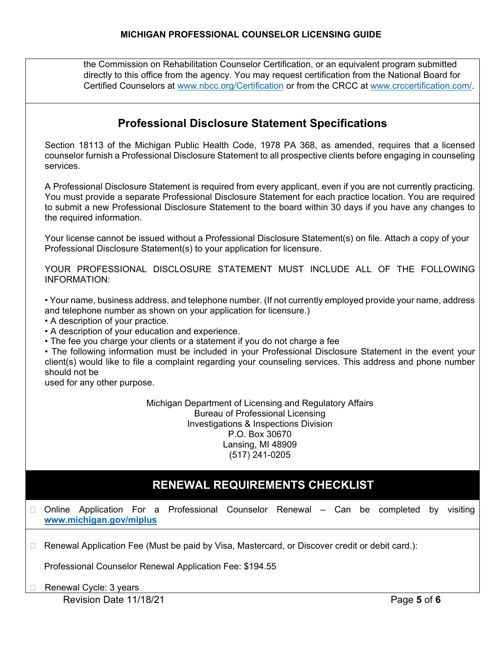the Commission on Rehabilitation Counselor Certification, or an equivalent program submitted directly to this office from the agency. You may request certification from the National Board for Certified Counselors at [www.nbcc.org/Certification](http://www.nbcc.org/Certification) or from the CRCC at [www.crccertification.com/.](http://www.crccertification.com/)

|        | <b>Professional Disclosure Statement Specifications</b>                                                                                                                                                                                                                                                                                                                                                                                                                                                                                                                                                                            |
|--------|------------------------------------------------------------------------------------------------------------------------------------------------------------------------------------------------------------------------------------------------------------------------------------------------------------------------------------------------------------------------------------------------------------------------------------------------------------------------------------------------------------------------------------------------------------------------------------------------------------------------------------|
|        | Section 18113 of the Michigan Public Health Code, 1978 PA 368, as amended, requires that a licensed<br>counselor furnish a Professional Disclosure Statement to all prospective clients before engaging in counseling<br>services.                                                                                                                                                                                                                                                                                                                                                                                                 |
|        | A Professional Disclosure Statement is required from every applicant, even if you are not currently practicing.<br>You must provide a separate Professional Disclosure Statement for each practice location. You are required<br>to submit a new Professional Disclosure Statement to the board within 30 days if you have any changes to<br>the required information.                                                                                                                                                                                                                                                             |
|        | Your license cannot be issued without a Professional Disclosure Statement(s) on file. Attach a copy of your<br>Professional Disclosure Statement(s) to your application for licensure.                                                                                                                                                                                                                                                                                                                                                                                                                                             |
|        | YOUR PROFESSIONAL DISCLOSURE STATEMENT MUST INCLUDE ALL OF THE FOLLOWING<br><b>INFORMATION:</b>                                                                                                                                                                                                                                                                                                                                                                                                                                                                                                                                    |
|        | • Your name, business address, and telephone number. (If not currently employed provide your name, address<br>and telephone number as shown on your application for licensure.)<br>• A description of your practice.<br>• A description of your education and experience.<br>• The fee you charge your clients or a statement if you do not charge a fee<br>• The following information must be included in your Professional Disclosure Statement in the event your<br>client(s) would like to file a complaint regarding your counseling services. This address and phone number<br>should not be<br>used for any other purpose. |
|        | Michigan Department of Licensing and Regulatory Affairs<br><b>Bureau of Professional Licensing</b><br><b>Investigations &amp; Inspections Division</b><br>P.O. Box 30670<br>Lansing, MI 48909<br>(517) 241-0205                                                                                                                                                                                                                                                                                                                                                                                                                    |
|        | RENEWAL REQUIREMENTS CHECKLIST                                                                                                                                                                                                                                                                                                                                                                                                                                                                                                                                                                                                     |
|        | Online Application For a Professional Counselor Renewal – Can be completed<br>visiting<br>by<br>www.michigan.gov/miplus                                                                                                                                                                                                                                                                                                                                                                                                                                                                                                            |
| $\Box$ | Renewal Application Fee (Must be paid by Visa, Mastercard, or Discover credit or debit card.):                                                                                                                                                                                                                                                                                                                                                                                                                                                                                                                                     |
|        | Professional Counselor Renewal Application Fee: \$194.55                                                                                                                                                                                                                                                                                                                                                                                                                                                                                                                                                                           |
|        | Renewal Cycle: 3 years<br>Revision Date 11/18/21<br>Page 5 of 6                                                                                                                                                                                                                                                                                                                                                                                                                                                                                                                                                                    |